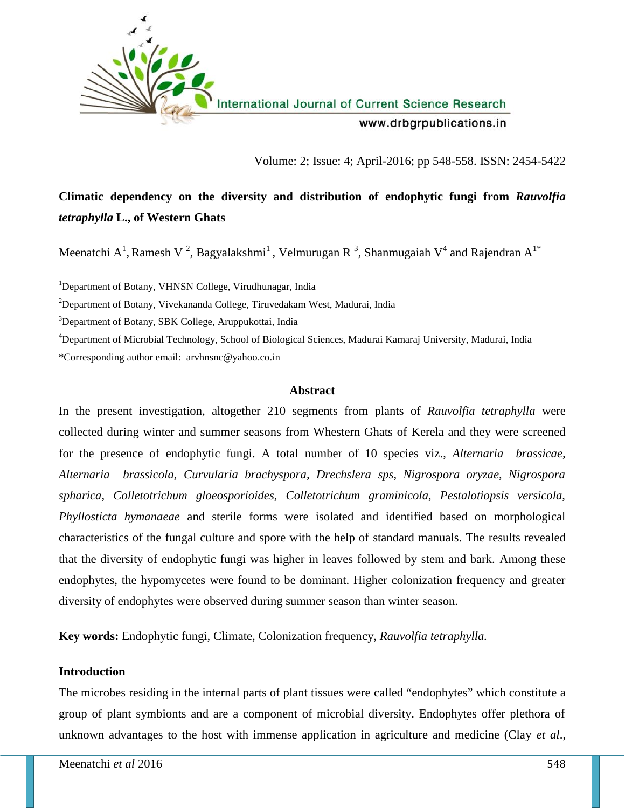

International Journal of Current Science Research

www.drbgrpublications.in

Volume: 2; Issue: 4; April-2016; pp 548-558. ISSN: 2454-5422

# **Climatic dependency on the diversity and distribution of endophytic fungi from** *Rauvolfia tetraphylla* **L., of Western Ghats**

Meenatchi A<sup>1</sup>, Ramesh V<sup>2</sup>, Bagyalakshmi<sup>1</sup>, Velmurugan R<sup>3</sup>, Shanmugaiah V<sup>4</sup> and Rajendran A<sup>1\*</sup>

<sup>1</sup>Department of Botany, VHNSN College, Virudhunagar, India

<sup>2</sup>Department of Botany, Vivekananda College, Tiruvedakam West, Madurai, India

<sup>3</sup>Department of Botany, SBK College, Aruppukottai, India

<sup>4</sup>Department of Microbial Technology, School of Biological Sciences, Madurai Kamaraj University, Madurai, India \*Corresponding author email: arvhnsnc@yahoo.co.in

#### **Abstract**

In the present investigation, altogether 210 segments from plants of *Rauvolfia tetraphylla* were collected during winter and summer seasons from Whestern Ghats of Kerela and they were screened for the presence of endophytic fungi. A total number of 10 species viz., *Alternaria brassicae, Alternaria brassicola, Curvularia brachyspora, Drechslera sps, Nigrospora oryzae, Nigrospora spharica, Colletotrichum gloeosporioides, Colletotrichum graminicola, Pestalotiopsis versicola, Phyllosticta hymanaeae* and sterile forms were isolated and identified based on morphological characteristics of the fungal culture and spore with the help of standard manuals. The results revealed that the diversity of endophytic fungi was higher in leaves followed by stem and bark. Among these endophytes, the hypomycetes were found to be dominant. Higher colonization frequency and greater diversity of endophytes were observed during summer season than winter season.

**Key words:** Endophytic fungi, Climate, Colonization frequency, *Rauvolfia tetraphylla.*

# **Introduction**

The microbes residing in the internal parts of plant tissues were called "endophytes" which constitute a group of plant symbionts and are a component of microbial diversity. Endophytes offer plethora of unknown advantages to the host with immense application in agriculture and medicine (Clay *et al*.,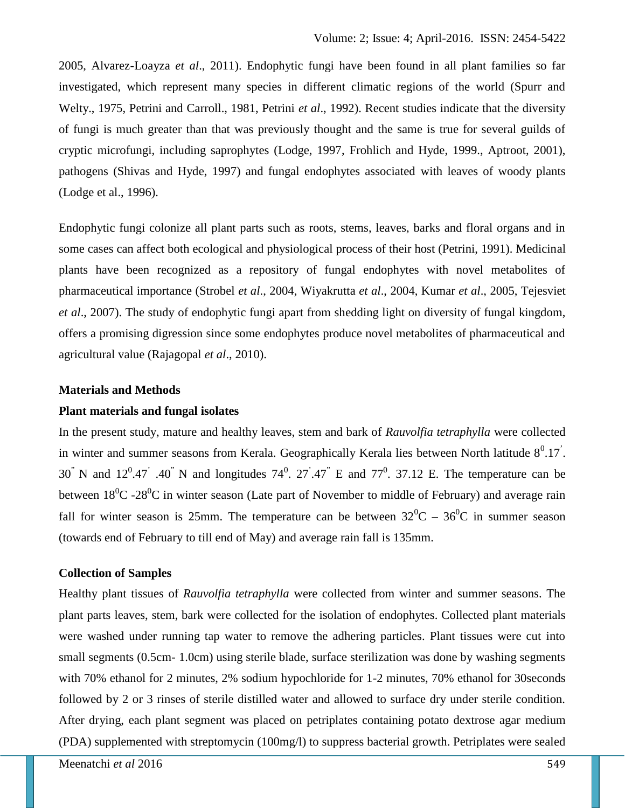2005, Alvarez-Loayza *et al*., 2011). Endophytic fungi have been found in all plant families so far investigated, which represent many species in different climatic regions of the world (Spurr and Welty., 1975, Petrini and Carroll., 1981, Petrini *et al*., 1992). Recent studies indicate that the diversity of fungi is much greater than that was previously thought and the same is true for several guilds of cryptic microfungi, including saprophytes (Lodge, 1997, Frohlich and Hyde, 1999., Aptroot, 2001), pathogens (Shivas and Hyde, 1997) and fungal endophytes associated with leaves of woody plants (Lodge et al., 1996).

Endophytic fungi colonize all plant parts such as roots, stems, leaves, barks and floral organs and in some cases can affect both ecological and physiological process of their host (Petrini, 1991). Medicinal plants have been recognized as a repository of fungal endophytes with novel metabolites of pharmaceutical importance (Strobel *et al*., 2004, Wiyakrutta *et al*., 2004, Kumar *et al*., 2005, Tejesviet *et al*., 2007). The study of endophytic fungi apart from shedding light on diversity of fungal kingdom, offers a promising digression since some endophytes produce novel metabolites of pharmaceutical and agricultural value (Rajagopal *et al*., 2010).

# **Materials and Methods**

# **Plant materials and fungal isolates**

In the present study, mature and healthy leaves, stem and bark of *Rauvolfia tetraphylla* were collected in winter and summer seasons from Kerala. Geographically Kerala lies between North latitude  $8^0.17$ . 30<sup>"</sup> N and 12<sup>0</sup>.47<sup>"</sup> .40<sup>"</sup> N and longitudes  $74^0$ .  $27^0.47^{\circ}$  E and  $77^0$ . 37.12 E. The temperature can be between  $18^0C - 28^0C$  in winter season (Late part of November to middle of February) and average rain fall for winter season is 25mm. The temperature can be between  $32^0C - 36^0C$  in summer season (towards end of February to till end of May) and average rain fall is 135mm.

# **Collection of Samples**

Healthy plant tissues of *Rauvolfia tetraphylla* were collected from winter and summer seasons. The plant parts leaves, stem, bark were collected for the isolation of endophytes. Collected plant materials were washed under running tap water to remove the adhering particles. Plant tissues were cut into small segments (0.5cm- 1.0cm) using sterile blade, surface sterilization was done by washing segments with 70% ethanol for 2 minutes, 2% sodium hypochloride for 1-2 minutes, 70% ethanol for 30 seconds followed by 2 or 3 rinses of sterile distilled water and allowed to surface dry under sterile condition. After drying, each plant segment was placed on petriplates containing potato dextrose agar medium (PDA) supplemented with streptomycin (100mg/l) to suppress bacterial growth. Petriplates were sealed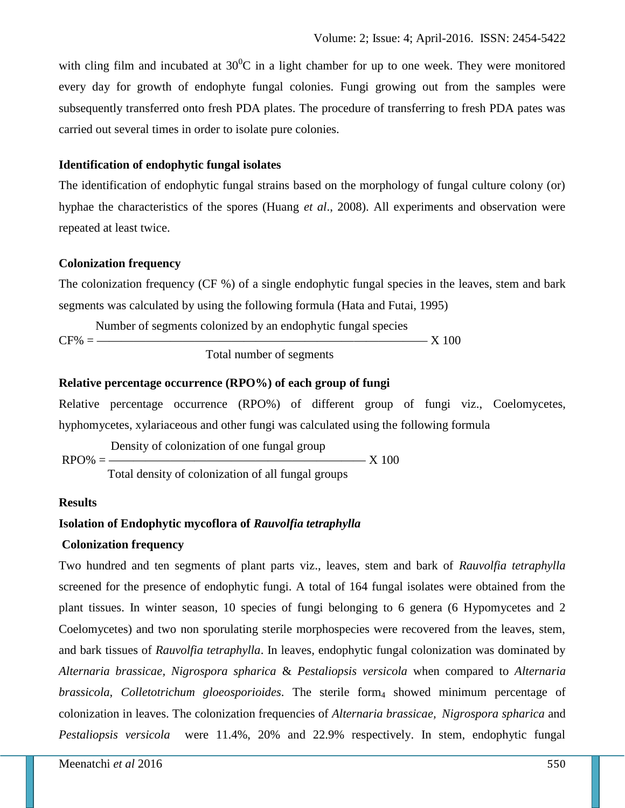with cling film and incubated at  $30^0C$  in a light chamber for up to one week. They were monitored every day for growth of endophyte fungal colonies. Fungi growing out from the samples were subsequently transferred onto fresh PDA plates. The procedure of transferring to fresh PDA pates was carried out several times in order to isolate pure colonies.

### **Identification of endophytic fungal isolates**

The identification of endophytic fungal strains based on the morphology of fungal culture colony (or) hyphae the characteristics of the spores (Huang *et al*., 2008). All experiments and observation were repeated at least twice.

#### **Colonization frequency**

The colonization frequency (CF %) of a single endophytic fungal species in the leaves, stem and bark segments was calculated by using the following formula (Hata and Futai, 1995)

Number of segments colonized by an endophytic fungal species CF% = ——————————————————————————— X 100 Total number of segments

#### **Relative percentage occurrence (RPO%) of each group of fungi**

Relative percentage occurrence (RPO%) of different group of fungi viz., Coelomycetes, hyphomycetes, xylariaceous and other fungi was calculated using the following formula

Density of colonization of one fungal group RPO% = ————————————————————— X 100 Total density of colonization of all fungal groups

#### **Results**

# **Isolation of Endophytic mycoflora of** *Rauvolfia tetraphylla*

#### **Colonization frequency**

Two hundred and ten segments of plant parts viz., leaves, stem and bark of *Rauvolfia tetraphylla* screened for the presence of endophytic fungi. A total of 164 fungal isolates were obtained from the plant tissues. In winter season, 10 species of fungi belonging to 6 genera (6 Hypomycetes and 2 Coelomycetes) and two non sporulating sterile morphospecies were recovered from the leaves, stem, and bark tissues of *Rauvolfia tetraphylla*. In leaves*,* endophytic fungal colonization was dominated by *Alternaria brassicae, Nigrospora spharica* & *Pestaliopsis versicola* when compared to *Alternaria brassicola, Colletotrichum gloeosporioides*. The sterile form<sub>4</sub> showed minimum percentage of colonization in leaves. The colonization frequencies of *Alternaria brassicae, Nigrospora spharica* and *Pestaliopsis versicola* were 11.4%, 20% and 22.9% respectively. In stem, endophytic fungal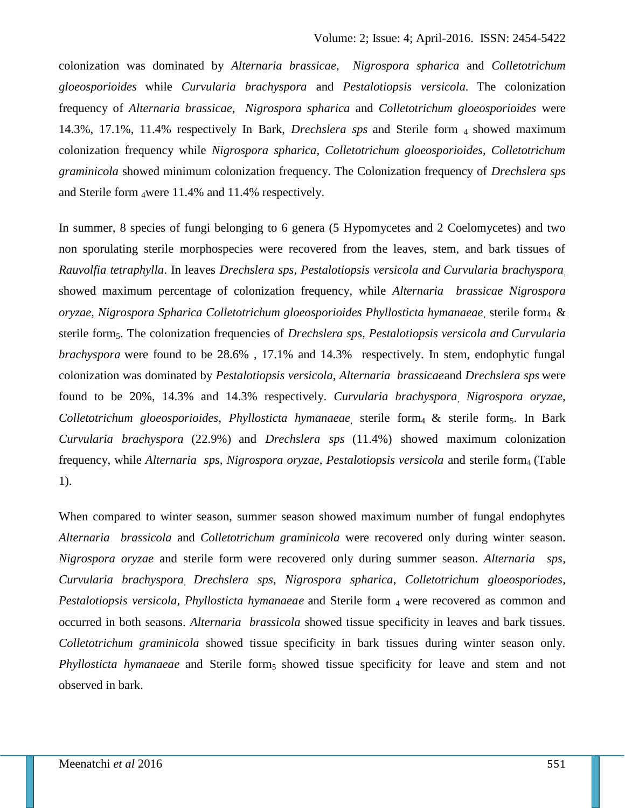colonization was dominated by *Alternaria brassicae, Nigrospora spharica* and *Colletotrichum gloeosporioides* while *Curvularia brachyspora* and *Pestalotiopsis versicola.* The colonization frequency of *Alternaria brassicae, Nigrospora spharica* and *Colletotrichum gloeosporioides* were 14.3%, 17.1%, 11.4% respectively In Bark, *Drechslera sps* and Sterile form <sup>4</sup> showed maximum colonization frequency while *Nigrospora spharica, Colletotrichum gloeosporioides, Colletotrichum graminicola* showed minimum colonization frequency. The Colonization frequency of *Drechslera sps* and Sterile form <sup>4</sup>were 11.4% and 11.4% respectively.

In summer, 8 species of fungi belonging to 6 genera (5 Hypomycetes and 2 Coelomycetes) and two non sporulating sterile morphospecies were recovered from the leaves, stem, and bark tissues of *Rauvolfia tetraphylla*. In leaves *Drechslera sps, Pestalotiopsis versicola and Curvularia brachyspora,* showed maximum percentage of colonization frequency, while *Alternaria brassicae Nigrospora oryzae, Nigrospora Spharica Colletotrichum gloeosporioides Phyllosticta hymanaeae*, sterile form<sup>4</sup> & sterile form5. The colonization frequencies of *Drechslera sps, Pestalotiopsis versicola and Curvularia brachyspora* were found to be 28.6% , 17.1% and 14.3% respectively. In stem, endophytic fungal colonization was dominated by *Pestalotiopsis versicola, Alternaria brassicae*and *Drechslera sps* were found to be 20%, 14.3% and 14.3% respectively. *Curvularia brachyspora, Nigrospora oryzae, Colletotrichum gloeosporioides, Phyllosticta hymanaeae*, sterile form<sup>4</sup> & sterile form5. In Bark *Curvularia brachyspora* (22.9%) and *Drechslera sps* (11.4%) showed maximum colonization frequency, while *Alternaria sps, Nigrospora oryzae, Pestalotiopsis versicola* and sterile form<sub>4</sub> (Table 1).

When compared to winter season, summer season showed maximum number of fungal endophytes *Alternaria brassicola* and *Colletotrichum graminicola* were recovered only during winter season. *Nigrospora oryzae* and sterile form were recovered only during summer season. *Alternaria sps*, *Curvularia brachyspora, Drechslera sps*, *Nigrospora spharica*, *Colletotrichum gloeosporiodes*, *Pestalotiopsis versicola, Phyllosticta hymanaeae* and Sterile form 4 were recovered as common and occurred in both seasons. *Alternaria brassicola* showed tissue specificity in leaves and bark tissues. *Colletotrichum graminicola* showed tissue specificity in bark tissues during winter season only. *Phyllosticta hymanaeae* and Sterile form<sub>5</sub> showed tissue specificity for leave and stem and not observed in bark.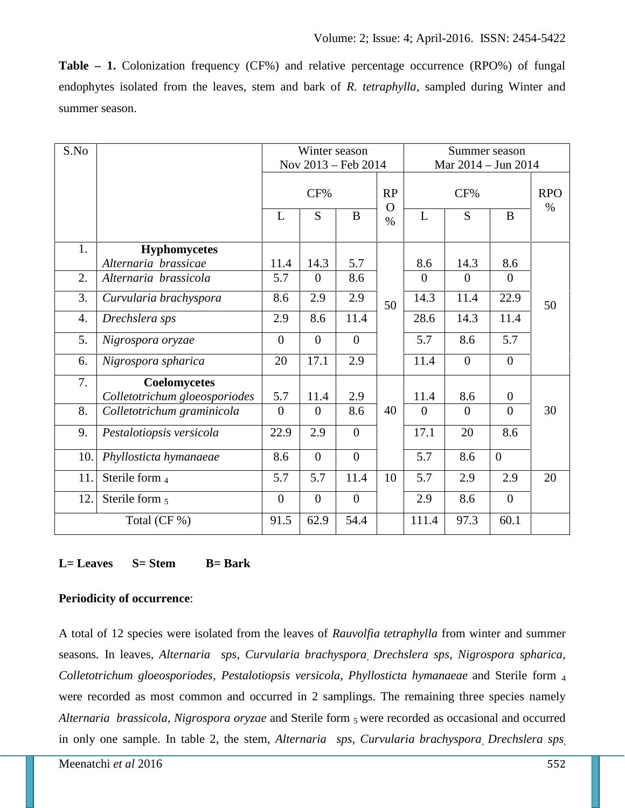**Table – 1.** Colonization frequency (CF%) and relative percentage occurrence (RPO%) of fungal endophytes isolated from the leaves, stem and bark of *R. tetraphylla*, sampled during Winter and summer season.

| S.No         |                               | Winter season<br>Nov 2013 - Feb 2014 |                  |                |                  | Summer season<br>Mar 2014 - Jun 2014 |                |                  |                    |
|--------------|-------------------------------|--------------------------------------|------------------|----------------|------------------|--------------------------------------|----------------|------------------|--------------------|
|              |                               | CF%                                  |                  |                | RP               | CF%                                  |                |                  | <b>RPO</b><br>$\%$ |
|              |                               | L                                    | ${\bf S}$        | $\bf{B}$       | $\Omega$<br>$\%$ | L                                    | S              | $\bf{B}$         |                    |
| 1.           | <b>Hyphomycetes</b>           |                                      |                  |                |                  |                                      |                |                  |                    |
|              | Alternaria brassicae          | 11.4                                 | 14.3             | 5.7            | 50               | 8.6                                  | 14.3           | 8.6              |                    |
| 2.           | Alternaria brassicola         | 5.7                                  | $\boldsymbol{0}$ | 8.6            |                  | $\overline{0}$                       | $\overline{0}$ | $\overline{0}$   |                    |
| 3.           | Curvularia brachyspora        | 8.6                                  | 2.9              | 2.9            |                  | 14.3                                 | 11.4           | 22.9             | 50                 |
| 4.           | Drechslera sps                | 2.9                                  | 8.6              | 11.4           |                  | 28.6                                 | 14.3           | 11.4             |                    |
| 5.           | Nigrospora oryzae             | $\mathbf{0}$                         | $\boldsymbol{0}$ | $\overline{0}$ |                  | 5.7                                  | 8.6            | 5.7              |                    |
| 6.           | Nigrospora spharica           | 20                                   | 17.1             | 2.9            |                  | 11.4                                 | $\overline{0}$ | $\overline{0}$   |                    |
| 7.           | Coelomycetes                  |                                      |                  |                |                  |                                      |                |                  |                    |
|              | Colletotrichum gloeosporiodes | 5.7                                  | 11.4             | 2.9            |                  | 11.4                                 | 8.6            | $\boldsymbol{0}$ |                    |
| 8.           | Colletotrichum graminicola    | $\overline{0}$                       | $\overline{0}$   | 8.6            | 40               | $\overline{0}$                       | $\theta$       | $\boldsymbol{0}$ | 30                 |
| 9.           | Pestalotiopsis versicola      | 22.9                                 | 2.9              | $\overline{0}$ |                  | 17.1                                 | 20             | 8.6              |                    |
| 10.          | Phyllosticta hymanaeae        | 8.6                                  | $\overline{0}$   | $\overline{0}$ |                  | 5.7                                  | 8.6            | $\mathbf{0}$     |                    |
| 11.          | Sterile form 4                | 5.7                                  | 5.7              | 11.4           | 10               | 5.7                                  | 2.9            | 2.9              | 20                 |
| 12.          | Sterile form 5                | $\mathbf{0}$                         | $\overline{0}$   | $\overline{0}$ |                  | 2.9                                  | 8.6            | $\overline{0}$   |                    |
| Total (CF %) |                               | 91.5                                 | 62.9             | 54.4           |                  | 111.4                                | 97.3           | 60.1             |                    |

# **L= Leaves S= Stem B= Bark**

# **Periodicity of occurrence**:

A total of 12 species were isolated from the leaves of *Rauvolfia tetraphylla* from winter and summer seasons*.* In leaves, *Alternaria sps*, *Curvularia brachyspora, Drechslera sps*, *Nigrospora spharica*, *Colletotrichum gloeosporiodes*, *Pestalotiopsis versicola, Phyllosticta hymanaeae* and Sterile form <sup>4</sup> were recorded as most common and occurred in 2 samplings. The remaining three species namely *Alternaria brassicola*, *Nigrospora oryzae* and Sterile form <sup>5</sup> were recorded as occasional and occurred in only one sample. In table 2, the stem, *Alternaria sps, Curvularia brachyspora, Drechslera sps,*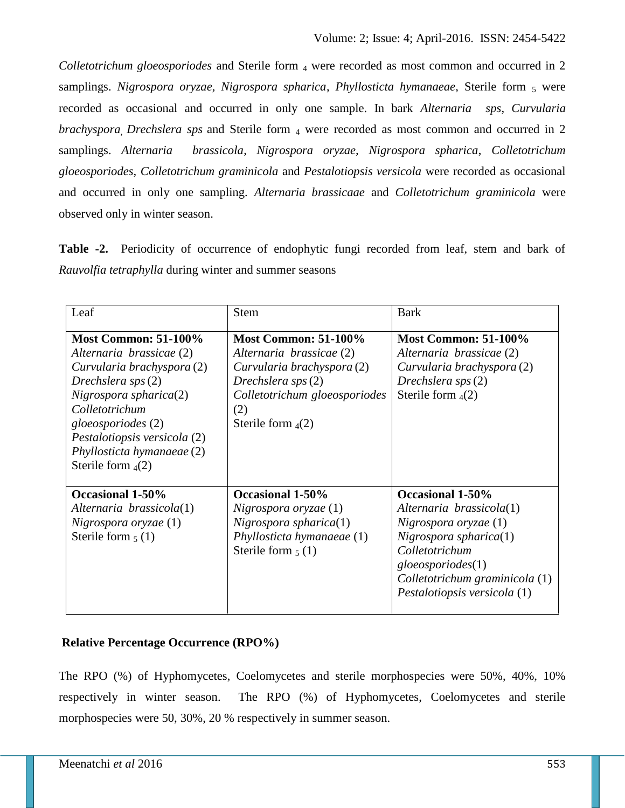*Colletotrichum gloeosporiodes* and Sterile form 4 were recorded as most common and occurred in 2 samplings. *Nigrospora oryzae, Nigrospora spharica, Phyllosticta hymanaeae*, Sterile form 5 were recorded as occasional and occurred in only one sample. In bark *Alternaria sps*, *Curvularia brachyspora<sub>,</sub> Drechslera sps* and Sterile form <sub>4</sub> were recorded as most common and occurred in 2 samplings. *Alternaria brassicola*, *Nigrospora oryzae, Nigrospora spharica*, *Colletotrichum gloeosporiodes, Colletotrichum graminicola* and *Pestalotiopsis versicola* were recorded as occasional and occurred in only one sampling. *Alternaria brassicaae* and *Colletotrichum graminicola* were observed only in winter season.

**Table -2.** Periodicity of occurrence of endophytic fungi recorded from leaf, stem and bark of *Rauvolfia tetraphylla* during winter and summer seasons

| Leaf                                                                                                                                                                                                                                                                | <b>Stem</b>                                                                                                                                                                   | <b>Bark</b>                                                                                                                                                                                                   |
|---------------------------------------------------------------------------------------------------------------------------------------------------------------------------------------------------------------------------------------------------------------------|-------------------------------------------------------------------------------------------------------------------------------------------------------------------------------|---------------------------------------------------------------------------------------------------------------------------------------------------------------------------------------------------------------|
| <b>Most Common: 51-100%</b><br>Alternaria brassicae (2)<br>Curvularia brachyspora (2)<br>Drechslera sps (2)<br>Nigrospora spharica(2)<br>Colletotrichum<br>gloeosporiodes (2)<br>Pestalotiopsis versicola (2)<br>Phyllosticta hymanaeae (2)<br>Sterile form $_4(2)$ | <b>Most Common: 51-100%</b><br>Alternaria brassicae (2)<br>Curvularia brachyspora (2)<br>Drechslera sps $(2)$<br>Colletotrichum gloeosporiodes<br>(2)<br>Sterile form $_4(2)$ | <b>Most Common: 51-100%</b><br>Alternaria brassicae (2)<br>Curvularia brachyspora (2)<br>Drechslera $sys(2)$<br>Sterile form $_4(2)$                                                                          |
| Occasional 1-50%<br>Alternaria brassicola(1)<br>Nigrospora oryzae (1)<br>Sterile form $_5$ (1)                                                                                                                                                                      | Occasional 1-50%<br>$Nigrospora$ oryzae $(1)$<br>Nigrospora spharica(1)<br>Phyllosticta hymanaeae (1)<br>Sterile form $_5$ (1)                                                | Occasional 1-50%<br>Alternaria brassicola(1)<br>$Nigrospora$ oryzae $(1)$<br>Nigrospora spharica(1)<br>Colletotrichum<br>gloeos poriodes(1)<br>Colletotrichum graminicola (1)<br>Pestalotiopsis versicola (1) |

# **Relative Percentage Occurrence (RPO%)**

The RPO (%) of Hyphomycetes, Coelomycetes and sterile morphospecies were 50%, 40%, 10% respectively in winter season. The RPO (%) of Hyphomycetes, Coelomycetes and sterile morphospecies were 50, 30%, 20 % respectively in summer season.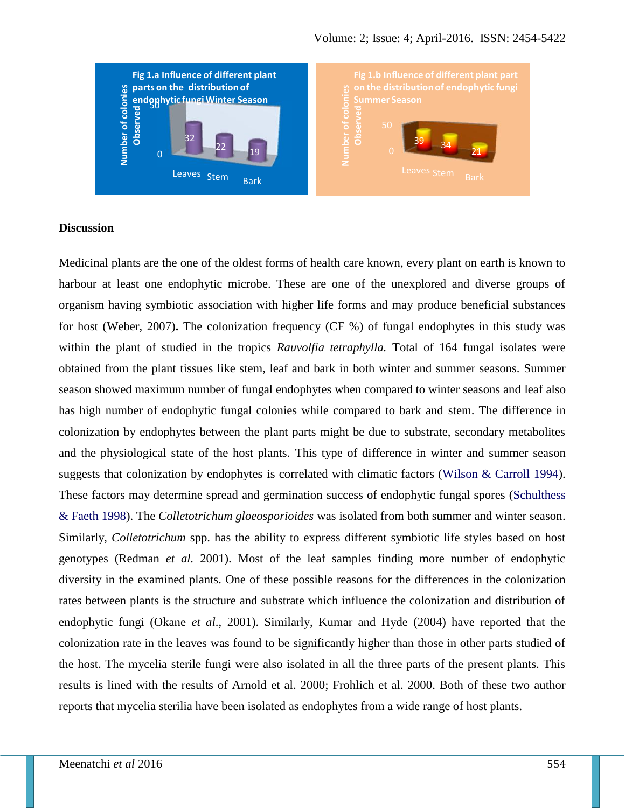

#### **Discussion**

Medicinal plants are the one of the oldest forms of health care known, every plant on earth is known to harbour at least one endophytic microbe. These are one of the unexplored and diverse groups of organism having symbiotic association with higher life forms and may produce beneficial substances for host (Weber, 2007)**.** The colonization frequency (CF %) of fungal endophytes in this study was within the plant of studied in the tropics *Rauvolfia tetraphylla.* Total of 164 fungal isolates were obtained from the plant tissues like stem, leaf and bark in both winter and summer seasons. Summer season showed maximum number of fungal endophytes when compared to winter seasons and leaf also has high number of endophytic fungal colonies while compared to bark and stem. The difference in colonization by endophytes between the plant parts might be due to substrate, secondary metabolites and the physiological state of the host plants. This type of difference in winter and summer season suggests that colonization by endophytes is correlated with climatic factors (Wilson & Carroll 1994). These factors may determine spread and germination success of endophytic fungal spores (Schulthess & Faeth 1998). The *Colletotrichum gloeosporioides* was isolated from both summer and winter season. Similarly, *Colletotrichum* spp. has the ability to express different symbiotic life styles based on host genotypes (Redman *et al.* 2001). Most of the leaf samples finding more number of endophytic diversity in the examined plants. One of these possible reasons for the differences in the colonization rates between plants is the structure and substrate which influence the colonization and distribution of endophytic fungi (Okane *et al*., 2001). Similarly, Kumar and Hyde (2004) have reported that the colonization rate in the leaves was found to be significantly higher than those in other parts studied of the host. The mycelia sterile fungi were also isolated in all the three parts of the present plants. This results is lined with the results of Arnold et al. 2000; Frohlich et al. 2000. Both of these two author reports that mycelia sterilia have been isolated as endophytes from a wide range of host plants.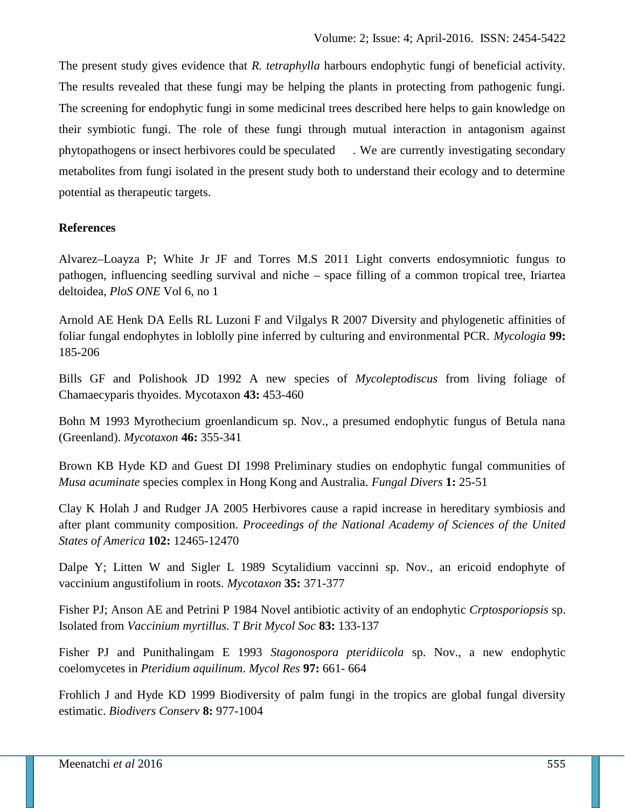The present study gives evidence that *R. tetraphylla* harbours endophytic fungi of beneficial activity. The results revealed that these fungi may be helping the plants in protecting from pathogenic fungi. The screening for endophytic fungi in some medicinal trees described here helps to gain knowledge on their symbiotic fungi. The role of these fungi through mutual interaction in antagonism against phytopathogens or insect herbivores could be speculated . We are currently investigating secondary metabolites from fungi isolated in the present study both to understand their ecology and to determine potential as therapeutic targets.

# **References**

Alvarez–Loayza P; White Jr JF and Torres M.S 2011 Light converts endosymniotic fungus to pathogen, influencing seedling survival and niche – space filling of a common tropical tree, Iriartea deltoidea, *PloS ONE* Vol 6, no 1

Arnold AE Henk DA Eells RL Luzoni F and Vilgalys R 2007 Diversity and phylogenetic affinities of foliar fungal endophytes in loblolly pine inferred by culturing and environmental PCR. *Mycologia* **99:** 185-206

Bills GF and Polishook JD 1992 A new species of *Mycoleptodiscus* from living foliage of Chamaecyparis thyoides. Mycotaxon **43:** 453-460

Bohn M 1993 Myrothecium groenlandicum sp. Nov., a presumed endophytic fungus of Betula nana (Greenland). *Mycotaxon* **46:** 355-341

Brown KB Hyde KD and Guest DI 1998 Preliminary studies on endophytic fungal communities of *Musa acuminate* species complex in Hong Kong and Australia. *Fungal Divers* **1:** 25-51

Clay K Holah J and Rudger JA 2005 Herbivores cause a rapid increase in hereditary symbiosis and after plant community composition. *Proceedings of the National Academy of Sciences of the United States of America* **102:** 12465-12470

Dalpe Y; Litten W and Sigler L 1989 Scytalidium vaccinni sp. Nov., an ericoid endophyte of vaccinium angustifolium in roots. *Mycotaxon* **35:** 371-377

Fisher PJ; Anson AE and Petrini P 1984 Novel antibiotic activity of an endophytic *Crptosporiopsis* sp. Isolated from *Vaccinium myrtillus. T Brit Mycol Soc* **83:** 133-137

Fisher PJ and Punithalingam E 1993 *Stagonospora pteridiicola* sp. Nov., a new endophytic coelomycetes in *Pteridium aquilinum*. *Mycol Res* **97:** 661- 664

Frohlich J and Hyde KD 1999 Biodiversity of palm fungi in the tropics are global fungal diversity estimatic. *Biodivers Conserv* **8:** 977-1004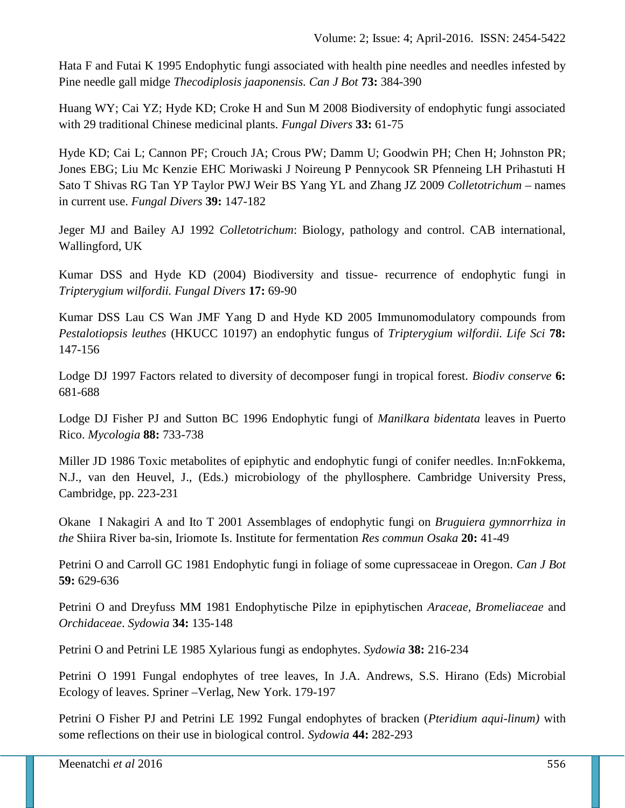Hata F and Futai K 1995 Endophytic fungi associated with health pine needles and needles infested by Pine needle gall midge *Thecodiplosis jaaponensis. Can J Bot* **73:** 384-390

Huang WY; Cai YZ; Hyde KD; Croke H and Sun M 2008 Biodiversity of endophytic fungi associated with 29 traditional Chinese medicinal plants. *Fungal Divers* **33:** 61-75

Hyde KD; Cai L; Cannon PF; Crouch JA; Crous PW; Damm U; Goodwin PH; Chen H; Johnston PR; Jones EBG; Liu Mc Kenzie EHC Moriwaski J Noireung P Pennycook SR Pfenneing LH Prihastuti H Sato T Shivas RG Tan YP Taylor PWJ Weir BS Yang YL and Zhang JZ 2009 *Colletotrichum* – names in current use. *Fungal Divers* **39:** 147-182

Jeger MJ and Bailey AJ 1992 *Colletotrichum*: Biology, pathology and control. CAB international, Wallingford, UK

Kumar DSS and Hyde KD (2004) Biodiversity and tissue- recurrence of endophytic fungi in *Tripterygium wilfordii. Fungal Divers* **17:** 69-90

Kumar DSS Lau CS Wan JMF Yang D and Hyde KD 2005 Immunomodulatory compounds from *Pestalotiopsis leuthes* (HKUCC 10197) an endophytic fungus of *Tripterygium wilfordii. Life Sci* **78:** 147-156

Lodge DJ 1997 Factors related to diversity of decomposer fungi in tropical forest. *Biodiv conserve* **6:** 681-688

Lodge DJ Fisher PJ and Sutton BC 1996 Endophytic fungi of *Manilkara bidentata* leaves in Puerto Rico. *Mycologia* **88:** 733-738

Miller JD 1986 Toxic metabolites of epiphytic and endophytic fungi of conifer needles. In:nFokkema, N.J., van den Heuvel, J., (Eds.) microbiology of the phyllosphere. Cambridge University Press, Cambridge, pp. 223-231

Okane I Nakagiri A and Ito T 2001 Assemblages of endophytic fungi on *Bruguiera gymnorrhiza in the* Shiira River ba-sin, Iriomote Is. Institute for fermentation *Res commun Osaka* **20:** 41-49

Petrini O and Carroll GC 1981 Endophytic fungi in foliage of some cupressaceae in Oregon. *Can J Bot* **59:** 629-636

Petrini O and Dreyfuss MM 1981 Endophytische Pilze in epiphytischen *Araceae, Bromeliaceae* and *Orchidaceae*. *Sydowia* **34:** 135-148

Petrini O and Petrini LE 1985 Xylarious fungi as endophytes. *Sydowia* **38:** 216-234

Petrini O 1991 Fungal endophytes of tree leaves, In J.A. Andrews, S.S. Hirano (Eds) Microbial Ecology of leaves. Spriner –Verlag, New York. 179-197

Petrini O Fisher PJ and Petrini LE 1992 Fungal endophytes of bracken (*Pteridium aqui-linum)* with some reflections on their use in biological control. *Sydowia* **44:** 282-293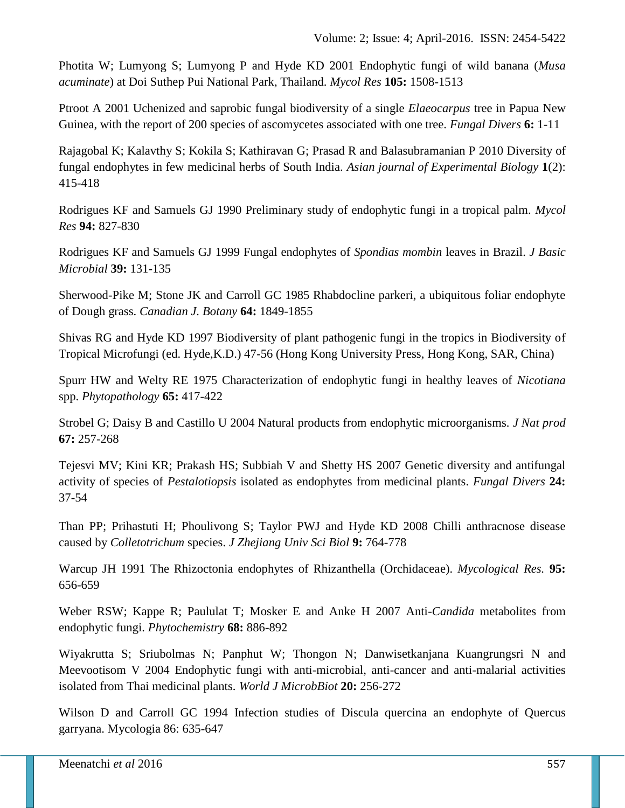Photita W; Lumyong S; Lumyong P and Hyde KD 2001 Endophytic fungi of wild banana (*Musa acuminate*) at Doi Suthep Pui National Park, Thailand. *Mycol Res* **105:** 1508-1513

Ptroot A 2001 Uchenized and saprobic fungal biodiversity of a single *Elaeocarpus* tree in Papua New Guinea, with the report of 200 species of ascomycetes associated with one tree. *Fungal Divers* **6:** 1-11

Rajagobal K; Kalavthy S; Kokila S; Kathiravan G; Prasad R and Balasubramanian P 2010 Diversity of fungal endophytes in few medicinal herbs of South India. *Asian journal of Experimental Biology* **1**(2): 415-418

Rodrigues KF and Samuels GJ 1990 Preliminary study of endophytic fungi in a tropical palm. *Mycol Res* **94:** 827-830

Rodrigues KF and Samuels GJ 1999 Fungal endophytes of *Spondias mombin* leaves in Brazil. *J Basic Microbial* **39:** 131-135

Sherwood-Pike M; Stone JK and Carroll GC 1985 Rhabdocline parkeri, a ubiquitous foliar endophyte of Dough grass. *Canadian J. Botany* **64:** 1849-1855

Shivas RG and Hyde KD 1997 Biodiversity of plant pathogenic fungi in the tropics in Biodiversity of Tropical Microfungi (ed. Hyde,K.D.) 47-56 (Hong Kong University Press, Hong Kong, SAR, China)

Spurr HW and Welty RE 1975 Characterization of endophytic fungi in healthy leaves of *Nicotiana* spp. *Phytopathology* **65:** 417-422

Strobel G; Daisy B and Castillo U 2004 Natural products from endophytic microorganisms. *J Nat prod* **67:** 257-268

Tejesvi MV; Kini KR; Prakash HS; Subbiah V and Shetty HS 2007 Genetic diversity and antifungal activity of species of *Pestalotiopsis* isolated as endophytes from medicinal plants. *Fungal Divers* **24:** 37-54

Than PP; Prihastuti H; Phoulivong S; Taylor PWJ and Hyde KD 2008 Chilli anthracnose disease caused by *Colletotrichum* species. *J Zhejiang Univ Sci Biol* **9:** 764-778

Warcup JH 1991 The Rhizoctonia endophytes of Rhizanthella (Orchidaceae). *Mycological Res.* **95:** 656-659

Weber RSW; Kappe R; Paululat T; Mosker E and Anke H 2007 Anti-*Candida* metabolites from endophytic fungi. *Phytochemistry* **68:** 886-892

Wiyakrutta S; Sriubolmas N; Panphut W; Thongon N; Danwisetkanjana Kuangrungsri N and Meevootisom V 2004 Endophytic fungi with anti-microbial, anti-cancer and anti-malarial activities isolated from Thai medicinal plants. *World J MicrobBiot* **20:** 256-272

Wilson D and Carroll GC 1994 Infection studies of Discula quercina an endophyte of Quercus garryana. Mycologia 86: 635-647